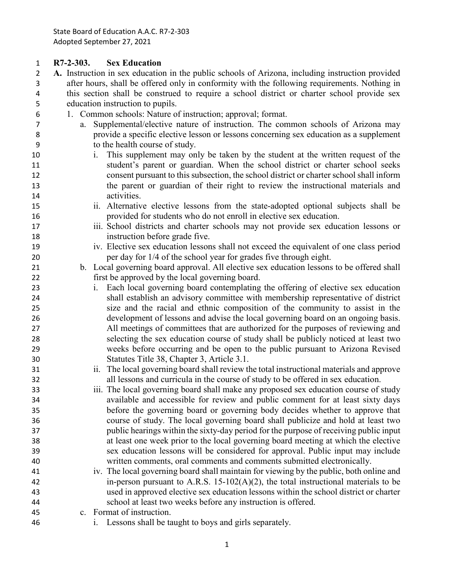**R7-2-303. Sex Education**

- **A.** Instruction in sex education in the public schools of Arizona, including instruction provided after hours, shall be offered only in conformity with the following requirements. Nothing in this section shall be construed to require a school district or charter school provide sex education instruction to pupils.
- 1. Common schools: Nature of instruction; approval; format.
- a. Supplemental/elective nature of instruction. The common schools of Arizona may provide a specific elective lesson or lessons concerning sex education as a supplement to the health course of study.
- i. This supplement may only be taken by the student at the written request of the student's parent or guardian. When the school district or charter school seeks consent pursuant to this subsection, the school district or charter school shall inform the parent or guardian of their right to review the instructional materials and activities.
- ii. Alternative elective lessons from the state-adopted optional subjects shall be provided for students who do not enroll in elective sex education.
- iii. School districts and charter schools may not provide sex education lessons or instruction before grade five.
- iv. Elective sex education lessons shall not exceed the equivalent of one class period per day for 1/4 of the school year for grades five through eight.
- b. Local governing board approval. All elective sex education lessons to be offered shall first be approved by the local governing board.
- i. Each local governing board contemplating the offering of elective sex education shall establish an advisory committee with membership representative of district size and the racial and ethnic composition of the community to assist in the development of lessons and advise the local governing board on an ongoing basis. All meetings of committees that are authorized for the purposes of reviewing and selecting the sex education course of study shall be publicly noticed at least two weeks before occurring and be open to the public pursuant to Arizona Revised Statutes Title 38, Chapter 3, Article 3.1.
- ii. The local governing board shall review the total instructional materials and approve all lessons and curricula in the course of study to be offered in sex education.
- iii. The local governing board shall make any proposed sex education course of study available and accessible for review and public comment for at least sixty days before the governing board or governing body decides whether to approve that course of study. The local governing board shall publicize and hold at least two public hearings within the sixty-day period for the purpose of receiving public input at least one week prior to the local governing board meeting at which the elective sex education lessons will be considered for approval. Public input may include written comments, oral comments and comments submitted electronically.
- iv. The local governing board shall maintain for viewing by the public, both online and in-person pursuant to A.R.S. 15-102(A)(2), the total instructional materials to be used in approved elective sex education lessons within the school district or charter school at least two weeks before any instruction is offered.
- c. Format of instruction.
- i. Lessons shall be taught to boys and girls separately.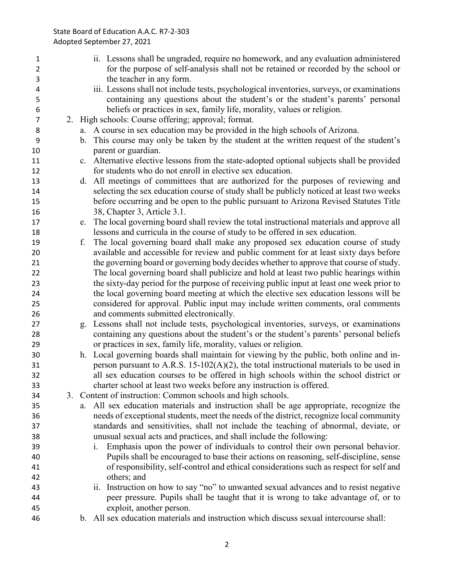## State Board of Education A.A.C. R7-2-303 Adopted September 27, 2021

| 1              |                | ii. Lessons shall be ungraded, require no homework, and any evaluation administered                                |
|----------------|----------------|--------------------------------------------------------------------------------------------------------------------|
| $\overline{2}$ |                | for the purpose of self-analysis shall not be retained or recorded by the school or                                |
| 3              |                | the teacher in any form.                                                                                           |
| 4              |                | iii. Lessons shall not include tests, psychological inventories, surveys, or examinations                          |
| 5              |                | containing any questions about the student's or the student's parents' personal                                    |
| 6              |                | beliefs or practices in sex, family life, morality, values or religion.                                            |
| $\overline{7}$ |                | 2. High schools: Course offering; approval; format.                                                                |
| 8              |                | a. A course in sex education may be provided in the high schools of Arizona.                                       |
| 9              | $\mathbf{b}$ . | This course may only be taken by the student at the written request of the student's                               |
| 10             |                | parent or guardian.                                                                                                |
| 11             |                | c. Alternative elective lessons from the state-adopted optional subjects shall be provided                         |
| 12             |                | for students who do not enroll in elective sex education.                                                          |
| 13             | d.             | All meetings of committees that are authorized for the purposes of reviewing and                                   |
| 14             |                | selecting the sex education course of study shall be publicly noticed at least two weeks                           |
| 15             |                | before occurring and be open to the public pursuant to Arizona Revised Statutes Title                              |
| 16             |                | 38, Chapter 3, Article 3.1.                                                                                        |
| 17             | e.             | The local governing board shall review the total instructional materials and approve all                           |
| 18             |                | lessons and curricula in the course of study to be offered in sex education.                                       |
| 19             | f.             | The local governing board shall make any proposed sex education course of study                                    |
| 20             |                | available and accessible for review and public comment for at least sixty days before                              |
| 21             |                | the governing board or governing body decides whether to approve that course of study.                             |
| 22             |                | The local governing board shall publicize and hold at least two public hearings within                             |
| 23             |                | the sixty-day period for the purpose of receiving public input at least one week prior to                          |
| 24             |                | the local governing board meeting at which the elective sex education lessons will be                              |
| 25             |                | considered for approval. Public input may include written comments, oral comments                                  |
| 26             |                | and comments submitted electronically.                                                                             |
| 27             | g.             | Lessons shall not include tests, psychological inventories, surveys, or examinations                               |
| 28             |                | containing any questions about the student's or the student's parents' personal beliefs                            |
| 29             |                | or practices in sex, family life, morality, values or religion.                                                    |
| 30             |                | h. Local governing boards shall maintain for viewing by the public, both online and in-                            |
| 31             |                | person pursuant to A.R.S. 15-102( $A$ )(2), the total instructional materials to be used in                        |
| 32             |                | all sex education courses to be offered in high schools within the school district or                              |
| 33             |                | charter school at least two weeks before any instruction is offered.                                               |
| 34             |                | 3. Content of instruction: Common schools and high schools.                                                        |
| 35             | a.             | All sex education materials and instruction shall be age appropriate, recognize the                                |
| 36             |                | needs of exceptional students, meet the needs of the district, recognize local community                           |
| 37             |                | standards and sensitivities, shall not include the teaching of abnormal, deviate, or                               |
| 38             |                | unusual sexual acts and practices, and shall include the following:                                                |
| 39             |                | Emphasis upon the power of individuals to control their own personal behavior.<br>i.                               |
| 40             |                | Pupils shall be encouraged to base their actions on reasoning, self-discipline, sense                              |
|                |                | of responsibility, self-control and ethical considerations such as respect for self and                            |
| 41             |                | others; and                                                                                                        |
| 42             |                |                                                                                                                    |
| 43             |                | ii. Instruction on how to say "no" to unwanted sexual advances and to resist negative                              |
| 44             |                | peer pressure. Pupils shall be taught that it is wrong to take advantage of, or to                                 |
| 45             |                | exploit, another person.<br>b. All sex education materials and instruction which discuss sexual intercourse shall: |
| 46             |                |                                                                                                                    |